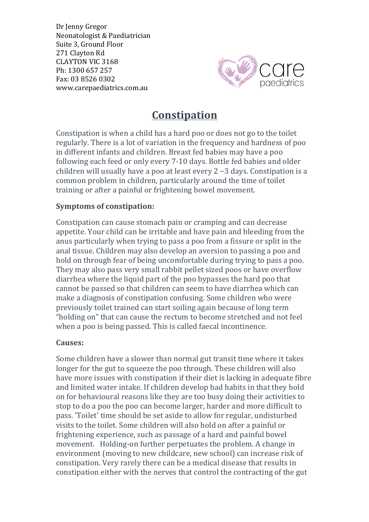Dr Jenny Gregor Neonatologist & Paediatrician Suite 3, Ground Floor 271 Clayton Rd CLAYTON VIC 3168 Ph: 1300 657 257 Fax: 03 8526 0302 www.carepaediatrics.com.au



# **Constipation**

Constipation is when a child has a hard poo or does not go to the toilet regularly. There is a lot of variation in the frequency and hardness of poo in different infants and children. Breast fed babies may have a poo following each feed or only every 7-10 days. Bottle fed babies and older children will usually have a poo at least every  $2 - 3$  days. Constipation is a common problem in children, particularly around the time of toilet training or after a painful or frightening bowel movement.

### **Symptoms of constipation:**

Constipation can cause stomach pain or cramping and can decrease appetite. Your child can be irritable and have pain and bleeding from the anus particularly when trying to pass a poo from a fissure or split in the anal tissue. Children may also develop an aversion to passing a poo and hold on through fear of being uncomfortable during trying to pass a poo. They may also pass very small rabbit pellet sized poos or have overflow diarrhea where the liquid part of the poo bypasses the hard poo that cannot be passed so that children can seem to have diarrhea which can make a diagnosis of constipation confusing. Some children who were previously toilet trained can start soiling again because of long term "holding on" that can cause the rectum to become stretched and not feel when a poo is being passed. This is called faecal incontinence.

#### **Causes:**

Some children have a slower than normal gut transit time where it takes longer for the gut to squeeze the poo through. These children will also have more issues with constipation if their diet is lacking in adequate fibre and limited water intake. If children develop bad habits in that they hold on for behavioural reasons like they are too busy doing their activities to stop to do a poo the poo can become larger, harder and more difficult to pass. 'Toilet' time should be set aside to allow for regular, undisturbed visits to the toilet. Some children will also hold on after a painful or frightening experience, such as passage of a hard and painful bowel movement. Holding-on further perpetuates the problem. A change in environment (moving to new childcare, new school) can increase risk of constipation. Very rarely there can be a medical disease that results in constipation either with the nerves that control the contracting of the gut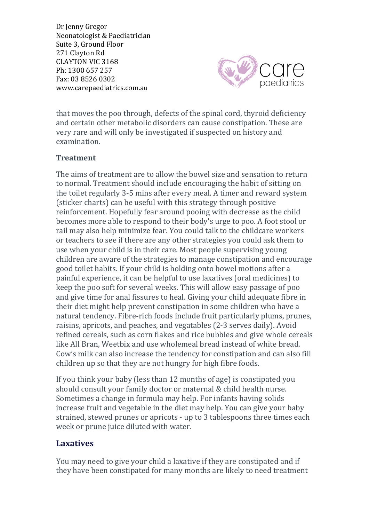Dr Jenny Gregor Neonatologist & Paediatrician Suite 3, Ground Floor 271 Clayton Rd CLAYTON VIC 3168 Ph: 1300 657 257 Fax: 03 8526 0302 www.carepaediatrics.com.au



that moves the poo through, defects of the spinal cord, thyroid deficiency and certain other metabolic disorders can cause constipation. These are very rare and will only be investigated if suspected on history and examination.

## **Treatment**

The aims of treatment are to allow the bowel size and sensation to return to normal. Treatment should include encouraging the habit of sitting on the toilet regularly 3-5 mins after every meal. A timer and reward system (sticker charts) can be useful with this strategy through positive reinforcement. Hopefully fear around pooing with decrease as the child becomes more able to respond to their body's urge to poo. A foot stool or rail may also help minimize fear. You could talk to the childcare workers or teachers to see if there are any other strategies you could ask them to use when your child is in their care. Most people supervising young children are aware of the strategies to manage constipation and encourage good toilet habits. If your child is holding onto bowel motions after a painful experience, it can be helpful to use laxatives (oral medicines) to keep the poo soft for several weeks. This will allow easy passage of poo and give time for anal fissures to heal. Giving your child adequate fibre in their diet might help prevent constipation in some children who have a natural tendency. Fibre-rich foods include fruit particularly plums, prunes, raisins, apricots, and peaches, and vegatables (2-3 serves daily). Avoid refined cereals, such as corn flakes and rice bubbles and give whole cereals like All Bran, Weetbix and use wholemeal bread instead of white bread. Cow's milk can also increase the tendency for constipation and can also fill children up so that they are not hungry for high fibre foods.

If you think your baby (less than 12 months of age) is constipated you should consult your family doctor or maternal & child health nurse. Sometimes a change in formula may help. For infants having solids increase fruit and vegetable in the diet may help. You can give your baby strained, stewed prunes or apricots - up to 3 tablespoons three times each week or prune juice diluted with water.

## **Laxatives**

You may need to give your child a laxative if they are constipated and if they have been constipated for many months are likely to need treatment